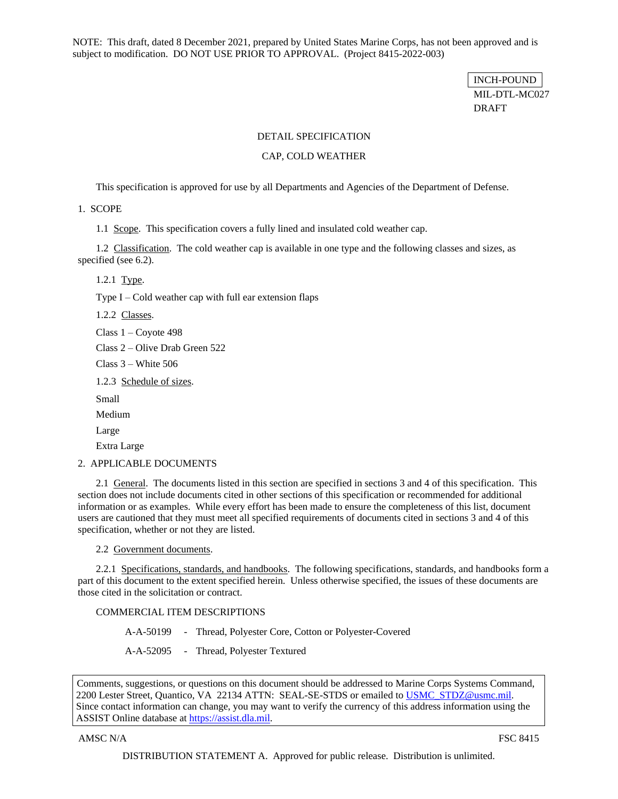NOTE: This draft, dated 8 December 2021, prepared by United States Marine Corps, has not been approved and is subject to modification. DO NOT USE PRIOR TO APPROVAL. (Project 8415-2022-003)

> INCH-POUND MIL-DTL-MC027 DRAFT

### DETAIL SPECIFICATION

### CAP, COLD WEATHER

This specification is approved for use by all Departments and Agencies of the Department of Defense.

1. SCOPE

1.1 Scope. This specification covers a fully lined and insulated cold weather cap.

<span id="page-0-0"></span>1.2 Classification. The cold weather cap is available in one type and the following classes and sizes, as specified (see [6.2\)](#page-15-0).

1.2.1 Type.

Type  $I - Cold$  weather cap with full ear extension flaps

1.2.2 Classes.

Class 1 – Coyote 498

Class 2 – Olive Drab Green 522

Class 3 – White 506

1.2.3 Schedule of sizes.

Small

Medium

Large

Extra Large

2. APPLICABLE DOCUMENTS

2.1 General. The documents listed in this section are specified in sections 3 and 4 of this specification. This section does not include documents cited in other sections of this specification or recommended for additional information or as examples. While every effort has been made to ensure the completeness of this list, document users are cautioned that they must meet all specified requirements of documents cited in sections 3 and 4 of this specification, whether or not they are listed.

2.2 Government documents.

2.2.1 Specifications, standards, and handbooks. The following specifications, standards, and handbooks form a part of this document to the extent specified herein. Unless otherwise specified, the issues of these documents are those cited in the solicitation or contract.

### COMMERCIAL ITEM DESCRIPTIONS

A-A-50199 - Thread, Polyester Core, Cotton or Polyester-Covered

A-A-52095 - Thread, Polyester Textured

Comments, suggestions, or questions on this document should be addressed to Marine Corps Systems Command, 2200 Lester Street, Quantico, VA 22134 ATTN: SEAL-SE-STDS or emailed to [USMC\\_STDZ@usmc.mil.](mailto:USMC_STDZ@usmc.mil) Since contact information can change, you may want to verify the currency of this address information using the ASSIST Online database at https://assist.dla.mil.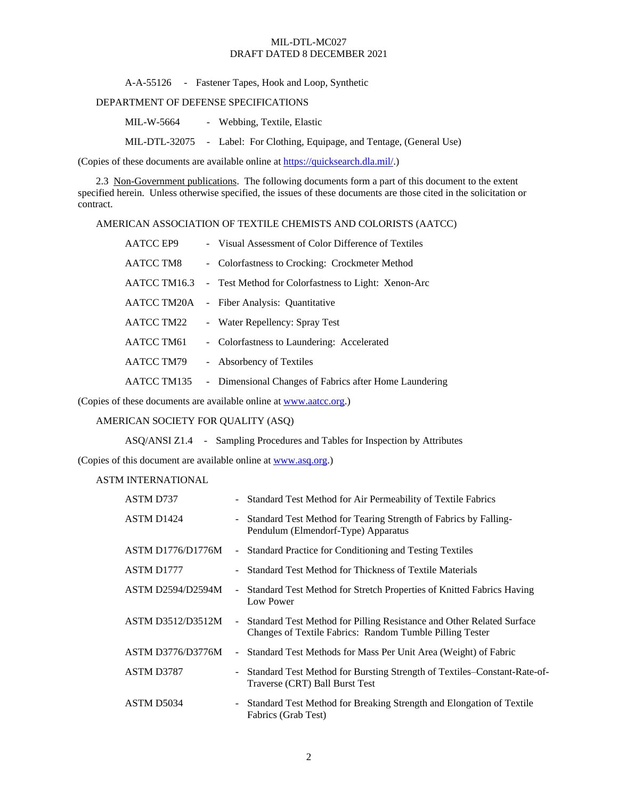A-A-55126 - Fastener Tapes, Hook and Loop, Synthetic

# DEPARTMENT OF DEFENSE SPECIFICATIONS

MIL-W-5664 - Webbing, Textile, Elastic

MIL-DTL-32075 - Label: For Clothing, Equipage, and Tentage, (General Use)

(Copies of these documents are available online at [https://quicksearch.dla.mil/.](https://quicksearch.dla.mil/))

2.3 Non-Government publications. The following documents form a part of this document to the extent specified herein. Unless otherwise specified, the issues of these documents are those cited in the solicitation or contract.

AMERICAN ASSOCIATION OF TEXTILE CHEMISTS AND COLORISTS (AATCC)

| <b>AATCC EP9</b> | - Visual Assessment of Color Difference of Textiles    |
|------------------|--------------------------------------------------------|
| AATCC TM8        | - Colorfastness to Crocking: Crockmeter Method         |
| AATCC TM16.3     | - Test Method for Colorfastness to Light: Xenon-Arc    |
| AATCC TM20A      | - Fiber Analysis: Quantitative                         |
| AATCC TM22       | - Water Repellency: Spray Test                         |
| AATCC TM61       | - Colorfastness to Laundering: Accelerated             |
| AATCC TM79       | - Absorbency of Textiles                               |
| AATCC TM135      | - Dimensional Changes of Fabrics after Home Laundering |

(Copies of these documents are available online at [www.aatcc.org.](http://www.aatcc.org/))

## AMERICAN SOCIETY FOR QUALITY (ASQ)

ASQ/ANSI Z1.4 - Sampling Procedures and Tables for Inspection by Attributes

(Copies of this document are available online at [www.asq.org.\)](http://www.asq.org/)

ASTM INTERNATIONAL

| ASTM D737                |        | - Standard Test Method for Air Permeability of Textile Fabrics                                                                    |
|--------------------------|--------|-----------------------------------------------------------------------------------------------------------------------------------|
| ASTM D1424               |        | Standard Test Method for Tearing Strength of Fabrics by Falling-<br>Pendulum (Elmendorf-Type) Apparatus                           |
| <b>ASTM D1776/D1776M</b> |        | - Standard Practice for Conditioning and Testing Textiles                                                                         |
| ASTM D1777               |        | Standard Test Method for Thickness of Textile Materials                                                                           |
| <b>ASTM D2594/D2594M</b> | $\sim$ | Standard Test Method for Stretch Properties of Knitted Fabrics Having<br>Low Power                                                |
| <b>ASTM D3512/D3512M</b> | $\sim$ | Standard Test Method for Pilling Resistance and Other Related Surface<br>Changes of Textile Fabrics: Random Tumble Pilling Tester |
| <b>ASTM D3776/D3776M</b> |        | Standard Test Methods for Mass Per Unit Area (Weight) of Fabric                                                                   |
| ASTM D3787               |        | - Standard Test Method for Bursting Strength of Textiles–Constant-Rate-of-<br>Traverse (CRT) Ball Burst Test                      |
| ASTM D5034               |        | - Standard Test Method for Breaking Strength and Elongation of Textile<br>Fabrics (Grab Test)                                     |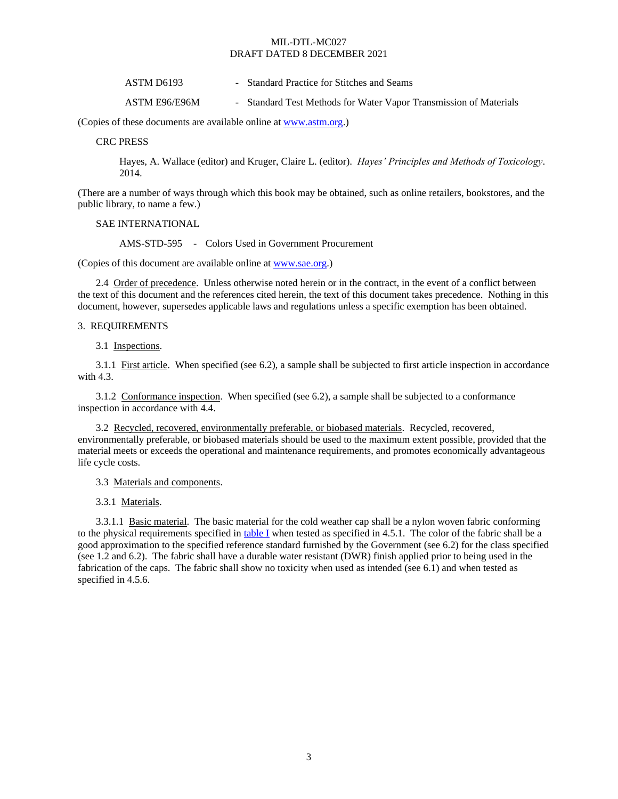| ASTM D6193 | - Standard Practice for Stitches and Seams |
|------------|--------------------------------------------|
|------------|--------------------------------------------|

ASTM E96/E96M - Standard Test Methods for Water Vapor Transmission of Materials

(Copies of these documents are available online at [www.astm.org.](http://www.astm.org/))

CRC PRESS

Hayes, A. Wallace (editor) and Kruger, Claire L. (editor). *Hayes' Principles and Methods of Toxicology*. 2014.

(There are a number of ways through which this book may be obtained, such as online retailers, bookstores, and the public library, to name a few.)

SAE INTERNATIONAL

AMS-STD-595 - Colors Used in Government Procurement

(Copies of this document are available online at [www.sae.org.](http://www.sae.org/))

2.4 Order of precedence. Unless otherwise noted herein or in the contract, in the event of a conflict between the text of this document and the references cited herein, the text of this document takes precedence. Nothing in this document, however, supersedes applicable laws and regulations unless a specific exemption has been obtained.

#### 3. REQUIREMENTS

3.1 Inspections.

<span id="page-2-1"></span>3.1.1 First article. When specified (see [6.2\)](#page-15-0), a sample shall be subjected to first article inspection in accordance with [4.3.](#page-10-0)

<span id="page-2-2"></span>3.1.2 Conformance inspection. When specified (see [6.2\)](#page-15-0), a sample shall be subjected to a conformance inspection in accordance with [4.4.](#page-10-1)

3.2 Recycled, recovered, environmentally preferable, or biobased materials. Recycled, recovered, environmentally preferable, or biobased materials should be used to the maximum extent possible, provided that the material meets or exceeds the operational and maintenance requirements, and promotes economically advantageous life cycle costs.

3.3 Materials and components.

3.3.1 Materials.

<span id="page-2-0"></span>3.3.1.1 Basic material. The basic material for the cold weather cap shall be a nylon woven fabric conforming to the physical requirements specified i[n table I](#page-3-0) when tested as specified in [4.5.1.](#page-10-2) The color of the fabric shall be a good approximation to the specified reference standard furnished by the Government (se[e 6.2\)](#page-15-0) for the class specified (se[e 1.2](#page-0-0) an[d 6.2\)](#page-15-0). The fabric shall have a durable water resistant (DWR) finish applied prior to being used in the fabrication of the caps. The fabric shall show no toxicity when used as intended (se[e 6.1\)](#page-15-1) and when tested as specified in [4.5.6.](#page-14-0)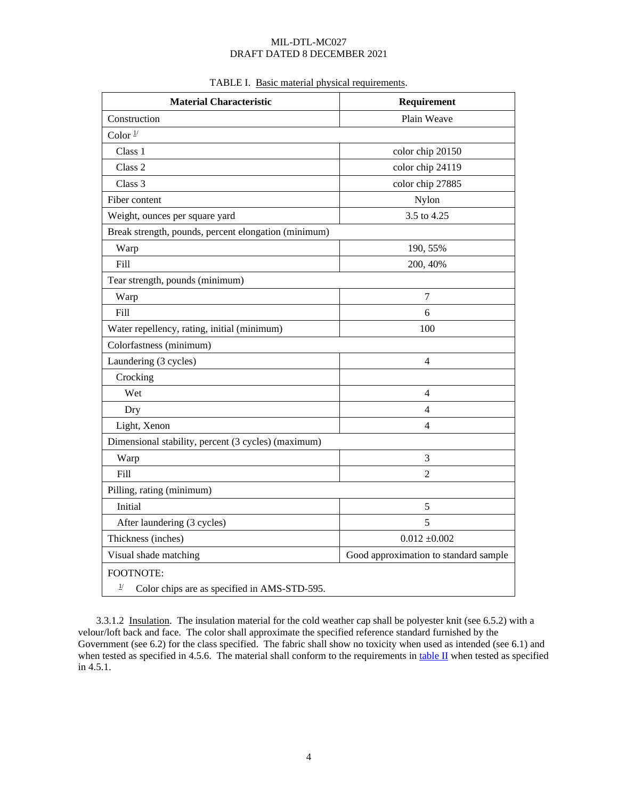<span id="page-3-0"></span>

| <b>Material Characteristic</b>                                 | Requirement      |  |  |  |  |
|----------------------------------------------------------------|------------------|--|--|--|--|
| Plain Weave<br>Construction                                    |                  |  |  |  |  |
| Color $\frac{1}{2}$                                            |                  |  |  |  |  |
| Class 1                                                        | color chip 20150 |  |  |  |  |
| Class 2                                                        | color chip 24119 |  |  |  |  |
| Class 3                                                        | color chip 27885 |  |  |  |  |
| Fiber content                                                  | Nylon            |  |  |  |  |
| Weight, ounces per square yard                                 | 3.5 to 4.25      |  |  |  |  |
| Break strength, pounds, percent elongation (minimum)           |                  |  |  |  |  |
| Warp                                                           | 190, 55%         |  |  |  |  |
| Fill                                                           | 200, 40%         |  |  |  |  |
| Tear strength, pounds (minimum)                                |                  |  |  |  |  |
| Warp                                                           | $\boldsymbol{7}$ |  |  |  |  |
| Fill                                                           | 6                |  |  |  |  |
| Water repellency, rating, initial (minimum)                    | 100              |  |  |  |  |
| Colorfastness (minimum)                                        |                  |  |  |  |  |
| Laundering (3 cycles)                                          | 4                |  |  |  |  |
| Crocking                                                       |                  |  |  |  |  |
| Wet                                                            | 4                |  |  |  |  |
| Dry                                                            | 4                |  |  |  |  |
| Light, Xenon<br>4                                              |                  |  |  |  |  |
| Dimensional stability, percent (3 cycles) (maximum)            |                  |  |  |  |  |
| Warp                                                           | 3                |  |  |  |  |
| Fill                                                           | $\overline{2}$   |  |  |  |  |
| Pilling, rating (minimum)                                      |                  |  |  |  |  |
| Initial                                                        | 5                |  |  |  |  |
| After laundering (3 cycles)                                    | 5                |  |  |  |  |
| $0.012 \pm 0.002$<br>Thickness (inches)                        |                  |  |  |  |  |
| Good approximation to standard sample<br>Visual shade matching |                  |  |  |  |  |
| <b>FOOTNOTE:</b>                                               |                  |  |  |  |  |
| $\frac{1}{2}$<br>Color chips are as specified in AMS-STD-595.  |                  |  |  |  |  |

# TABLE I. Basic material physical requirements.

<span id="page-3-1"></span>3.3.1.2 Insulation. The insulation material for the cold weather cap shall be polyester knit (see [6.5.2\)](#page-16-0) with a velour/loft back and face. The color shall approximate the specified reference standard furnished by the Government (se[e 6.2\)](#page-15-0) for the class specified. The fabric shall show no toxicity when used as intended (see [6.1\)](#page-15-1) and when tested as specified in [4.5.6.](#page-14-0) The material shall conform to the requirements in table  $II$  when tested as specified i[n 4.5.1.](#page-10-2)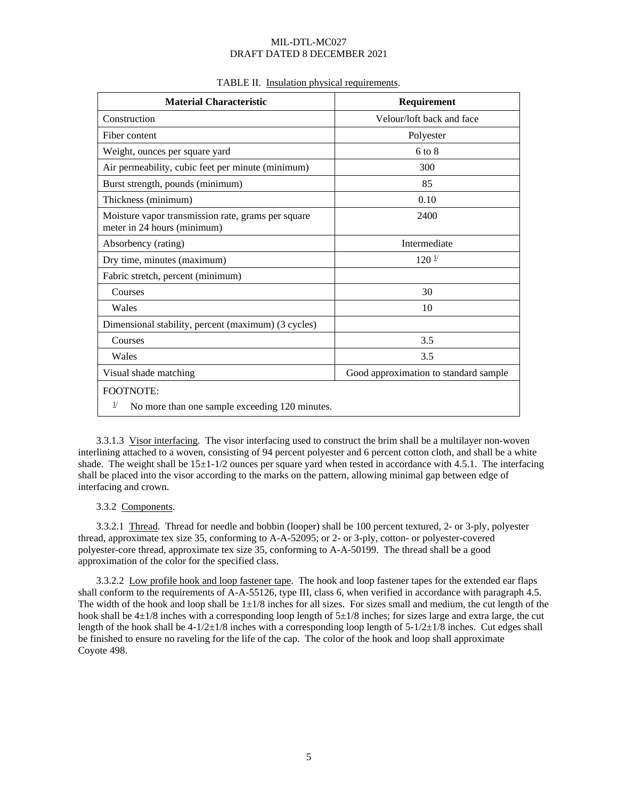<span id="page-4-0"></span>

| <b>Material Characteristic</b>                                                    | Requirement                           |  |
|-----------------------------------------------------------------------------------|---------------------------------------|--|
| Construction                                                                      | Velour/loft back and face             |  |
| Fiber content                                                                     | Polyester                             |  |
| Weight, ounces per square yard                                                    | $6$ to $8$                            |  |
| Air permeability, cubic feet per minute (minimum)                                 | 300                                   |  |
| Burst strength, pounds (minimum)                                                  | 85                                    |  |
| Thickness (minimum)                                                               | 0.10                                  |  |
| Moisture vapor transmission rate, grams per square<br>meter in 24 hours (minimum) | 2400                                  |  |
| Absorbency (rating)                                                               | Intermediate                          |  |
| Dry time, minutes (maximum)                                                       | $120^{\frac{1}{2}}$                   |  |
| Fabric stretch, percent (minimum)                                                 |                                       |  |
| Courses                                                                           | 30                                    |  |
| Wales                                                                             | 10                                    |  |
| Dimensional stability, percent (maximum) (3 cycles)                               |                                       |  |
| Courses                                                                           | 3.5                                   |  |
| Wales                                                                             | 3.5                                   |  |
| Visual shade matching                                                             | Good approximation to standard sample |  |
| <b>FOOTNOTE:</b>                                                                  |                                       |  |
| $_{\perp}$<br>No more than one sample exceeding 120 minutes.                      |                                       |  |

### TABLE II. Insulation physical requirements.

<span id="page-4-3"></span>3.3.1.3 Visor interfacing. The visor interfacing used to construct the brim shall be a multilayer non-woven interlining attached to a woven, consisting of 94 percent polyester and 6 percent cotton cloth, and shall be a white shade. The weight shall be  $15\pm1-1/2$  ounces per square yard when tested in accordance with [4.5.1.](#page-10-2) The interfacing shall be placed into the visor according to the marks on the pattern, allowing minimal gap between edge of interfacing and crown.

### 3.3.2 Components.

<span id="page-4-1"></span>3.3.2.1 Thread. Thread for needle and bobbin (looper) shall be 100 percent textured, 2- or 3-ply, polyester thread, approximate tex size 35, conforming to A-A-52095; or 2- or 3-ply, cotton- or polyester-covered polyester-core thread, approximate tex size 35, conforming to A-A-50199. The thread shall be a good approximation of the color for the specified class.

<span id="page-4-2"></span>3.3.2.2 Low profile hook and loop fastener tape. The hook and loop fastener tapes for the extended ear flaps shall conform to the requirements of A-A-55126, type III, class 6, when verified in accordance with paragrap[h 4.5.](#page-10-3) The width of the hook and loop shall be  $1\pm 1/8$  inches for all sizes. For sizes small and medium, the cut length of the hook shall be  $4\pm1/8$  inches with a corresponding loop length of  $5\pm1/8$  inches; for sizes large and extra large, the cut length of the hook shall be  $4-1/2\pm1/8$  inches with a corresponding loop length of  $5-1/2\pm1/8$  inches. Cut edges shall be finished to ensure no raveling for the life of the cap. The color of the hook and loop shall approximate Coyote 498.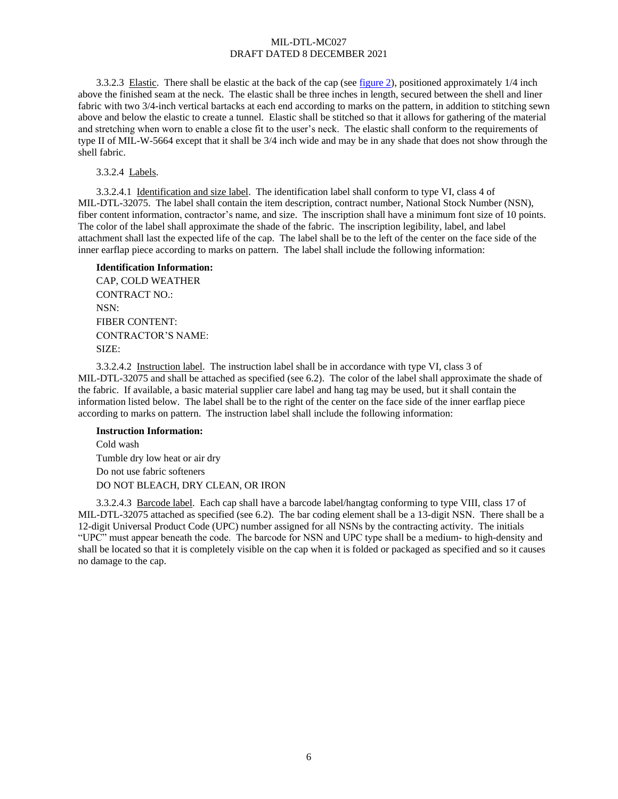<span id="page-5-0"></span>3.3.2.3 Elastic. There shall be elastic at the back of the cap (see [figure 2\)](#page-20-0), positioned approximately 1/4 inch above the finished seam at the neck. The elastic shall be three inches in length, secured between the shell and liner fabric with two 3/4-inch vertical bartacks at each end according to marks on the pattern, in addition to stitching sewn above and below the elastic to create a tunnel. Elastic shall be stitched so that it allows for gathering of the material and stretching when worn to enable a close fit to the user's neck. The elastic shall conform to the requirements of type II of MIL-W-5664 except that it shall be 3/4 inch wide and may be in any shade that does not show through the shell fabric.

<span id="page-5-1"></span>3.3.2.4 Labels.

3.3.2.4.1 Identification and size label. The identification label shall conform to type VI, class 4 of MIL-DTL-32075. The label shall contain the item description, contract number, National Stock Number (NSN), fiber content information, contractor's name, and size. The inscription shall have a minimum font size of 10 points. The color of the label shall approximate the shade of the fabric. The inscription legibility, label, and label attachment shall last the expected life of the cap. The label shall be to the left of the center on the face side of the inner earflap piece according to marks on pattern. The label shall include the following information:

# **Identification Information:** CAP, COLD WEATHER CONTRACT NO.: NSN: FIBER CONTENT: CONTRACTOR'S NAME: SIZE:

<span id="page-5-2"></span>3.3.2.4.2 Instruction label. The instruction label shall be in accordance with type VI, class 3 of MIL-DTL-32075 and shall be attached as specified (see [6.2\)](#page-15-0). The color of the label shall approximate the shade of the fabric. If available, a basic material supplier care label and hang tag may be used, but it shall contain the information listed below. The label shall be to the right of the center on the face side of the inner earflap piece according to marks on pattern. The instruction label shall include the following information:

### **Instruction Information:**

Cold wash Tumble dry low heat or air dry Do not use fabric softeners DO NOT BLEACH, DRY CLEAN, OR IRON

<span id="page-5-3"></span>3.3.2.4.3 Barcode label. Each cap shall have a barcode label/hangtag conforming to type VIII, class 17 of MIL-DTL-32075 attached as specified (see [6.2\)](#page-15-0). The bar coding element shall be a 13-digit NSN. There shall be a 12-digit Universal Product Code (UPC) number assigned for all NSNs by the contracting activity. The initials "UPC" must appear beneath the code. The barcode for NSN and UPC type shall be a medium- to high-density and shall be located so that it is completely visible on the cap when it is folded or packaged as specified and so it causes no damage to the cap.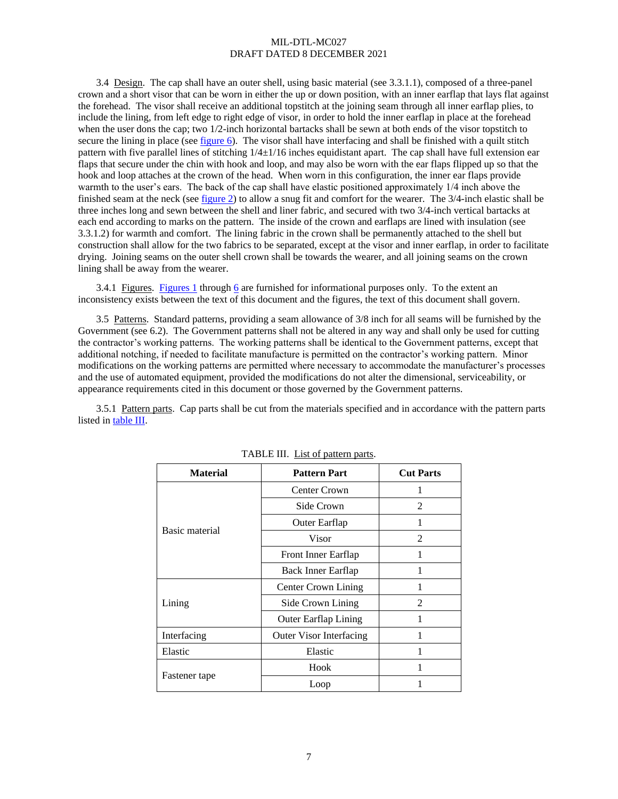3.4 Design. The cap shall have an outer shell, using basic material (see [3.3.1.1\)](#page-2-0), composed of a three-panel crown and a short visor that can be worn in either the up or down position, with an inner earflap that lays flat against the forehead. The visor shall receive an additional topstitch at the joining seam through all inner earflap plies, to include the lining, from left edge to right edge of visor, in order to hold the inner earflap in place at the forehead when the user dons the cap; two 1/2-inch horizontal bartacks shall be sewn at both ends of the visor topstitch to secure the lining in place (see [figure 6\)](#page-24-0). The visor shall have interfacing and shall be finished with a quilt stitch pattern with five parallel lines of stitching  $1/4\pm 1/16$  inches equidistant apart. The cap shall have full extension ear flaps that secure under the chin with hook and loop, and may also be worn with the ear flaps flipped up so that the hook and loop attaches at the crown of the head. When worn in this configuration, the inner ear flaps provide warmth to the user's ears. The back of the cap shall have elastic positioned approximately 1/4 inch above the finished seam at the neck (se[e figure 2\)](#page-20-0) to allow a snug fit and comfort for the wearer. The 3/4-inch elastic shall be three inches long and sewn between the shell and liner fabric, and secured with two 3/4-inch vertical bartacks at each end according to marks on the pattern. The inside of the crown and earflaps are lined with insulation (see [3.3.1.2\)](#page-3-1) for warmth and comfort. The lining fabric in the crown shall be permanently attached to the shell but construction shall allow for the two fabrics to be separated, except at the visor and inner earflap, in order to facilitate drying. Joining seams on the outer shell crown shall be towards the wearer, and all joining seams on the crown lining shall be away from the wearer.

3.4.1 Figures. [Figures 1](#page-19-0) through [6](#page-24-0) are furnished for informational purposes only. To the extent an inconsistency exists between the text of this document and the figures, the text of this document shall govern.

<span id="page-6-1"></span>3.5 Patterns. Standard patterns, providing a seam allowance of 3/8 inch for all seams will be furnished by the Government (se[e 6.2\)](#page-15-0). The Government patterns shall not be altered in any way and shall only be used for cutting the contractor's working patterns. The working patterns shall be identical to the Government patterns, except that additional notching, if needed to facilitate manufacture is permitted on the contractor's working pattern. Minor modifications on the working patterns are permitted where necessary to accommodate the manufacturer's processes and the use of automated equipment, provided the modifications do not alter the dimensional, serviceability, or appearance requirements cited in this document or those governed by the Government patterns.

3.5.1 Pattern parts. Cap parts shall be cut from the materials specified and in accordance with the pattern parts listed in [table III.](#page-6-0)

<span id="page-6-0"></span>

| <b>Material</b><br><b>Pattern Part</b> |                                | <b>Cut Parts</b> |
|----------------------------------------|--------------------------------|------------------|
|                                        | Center Crown                   |                  |
|                                        | Side Crown                     | $\mathfrak{D}$   |
| Basic material                         | Outer Earflap                  |                  |
|                                        | Visor                          | 2                |
|                                        | Front Inner Earflap            | 1                |
|                                        | Back Inner Earflap             |                  |
|                                        | Center Crown Lining            |                  |
| Lining                                 | Side Crown Lining              | 2                |
|                                        | <b>Outer Earflap Lining</b>    |                  |
| Interfacing                            | <b>Outer Visor Interfacing</b> |                  |
| Elastic                                | Elastic                        | 1                |
|                                        | Hook                           |                  |
| Fastener tape                          | Loop                           |                  |

|--|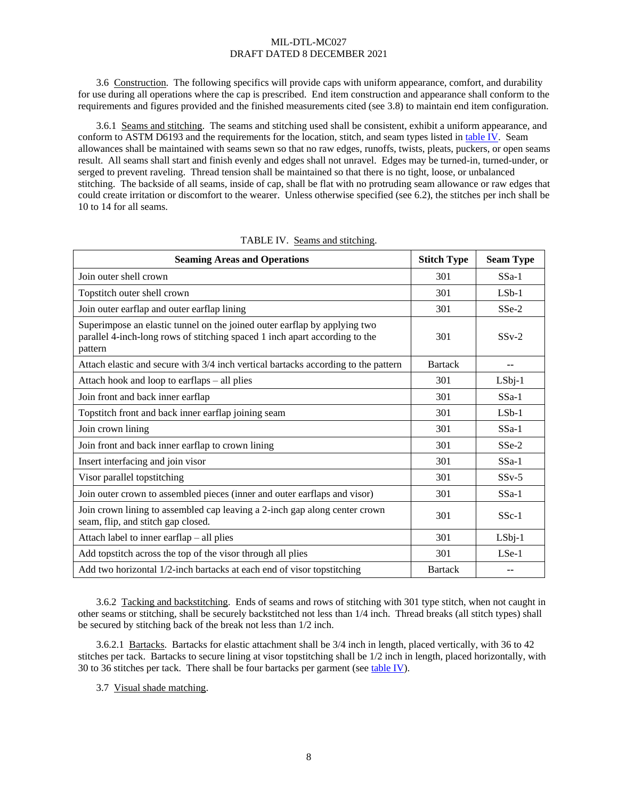3.6 Construction. The following specifics will provide caps with uniform appearance, comfort, and durability for use during all operations where the cap is prescribed. End item construction and appearance shall conform to the requirements and figures provided and the finished measurements cited (see [3.8\)](#page-8-0) to maintain end item configuration.

<span id="page-7-1"></span>3.6.1 Seams and stitching. The seams and stitching used shall be consistent, exhibit a uniform appearance, and conform to ASTM D6193 and the requirements for the location, stitch, and seam types listed in [table IV.](#page-7-0) Seam allowances shall be maintained with seams sewn so that no raw edges, runoffs, twists, pleats, puckers, or open seams result. All seams shall start and finish evenly and edges shall not unravel. Edges may be turned-in, turned-under, or serged to prevent raveling. Thread tension shall be maintained so that there is no tight, loose, or unbalanced stitching. The backside of all seams, inside of cap, shall be flat with no protruding seam allowance or raw edges that could create irritation or discomfort to the wearer. Unless otherwise specified (se[e 6.2\)](#page-15-0), the stitches per inch shall be 10 to 14 for all seams.

<span id="page-7-0"></span>

| <b>Seaming Areas and Operations</b>                                                                                                                                 | <b>Stitch Type</b> | <b>Seam Type</b> |
|---------------------------------------------------------------------------------------------------------------------------------------------------------------------|--------------------|------------------|
| Join outer shell crown                                                                                                                                              | 301                | $SSa-1$          |
| Topstitch outer shell crown                                                                                                                                         | 301                | $LSb-1$          |
| Join outer earflap and outer earflap lining                                                                                                                         | 301                | SSe-2            |
| Superimpose an elastic tunnel on the joined outer earflap by applying two<br>parallel 4-inch-long rows of stitching spaced 1 inch apart according to the<br>pattern | 301                | $SSv-2$          |
| Attach elastic and secure with 3/4 inch vertical bartacks according to the pattern                                                                                  | <b>Bartack</b>     | --               |
| Attach hook and loop to earflaps – all plies                                                                                                                        | 301                | $LSbj-1$         |
| Join front and back inner earflap                                                                                                                                   | 301                | $SSa-1$          |
| Topstitch front and back inner earflap joining seam                                                                                                                 | 301                | $LSb-1$          |
| Join crown lining                                                                                                                                                   | 301                | $SSa-1$          |
| Join front and back inner earflap to crown lining                                                                                                                   | 301                | $SSe-2$          |
| Insert interfacing and join visor                                                                                                                                   | 301                | $SSa-1$          |
| Visor parallel topstitching                                                                                                                                         | 301                | $SSv-5$          |
| Join outer crown to assembled pieces (inner and outer earflaps and visor)                                                                                           | 301                | $SSa-1$          |
| Join crown lining to assembled cap leaving a 2-inch gap along center crown<br>seam, flip, and stitch gap closed.                                                    | 301                | $SSc-1$          |
| Attach label to inner earflap – all plies                                                                                                                           | 301                | LSbj-1           |
| Add topstitch across the top of the visor through all plies                                                                                                         | 301                | $LSe-1$          |
| Add two horizontal 1/2-inch bartacks at each end of visor topstitching                                                                                              | <b>Bartack</b>     | --               |

| TABLE IV. Seams and stitching. |  |
|--------------------------------|--|
|                                |  |

3.6.2 Tacking and backstitching. Ends of seams and rows of stitching with 301 type stitch, when not caught in other seams or stitching, shall be securely backstitched not less than 1/4 inch. Thread breaks (all stitch types) shall be secured by stitching back of the break not less than 1/2 inch.

3.6.2.1 Bartacks. Bartacks for elastic attachment shall be 3/4 inch in length, placed vertically, with 36 to 42 stitches per tack. Bartacks to secure lining at visor topstitching shall be 1/2 inch in length, placed horizontally, with 30 to 36 stitches per tack. There shall be four bartacks per garment (see [table IV\)](#page-7-0).

3.7 Visual shade matching.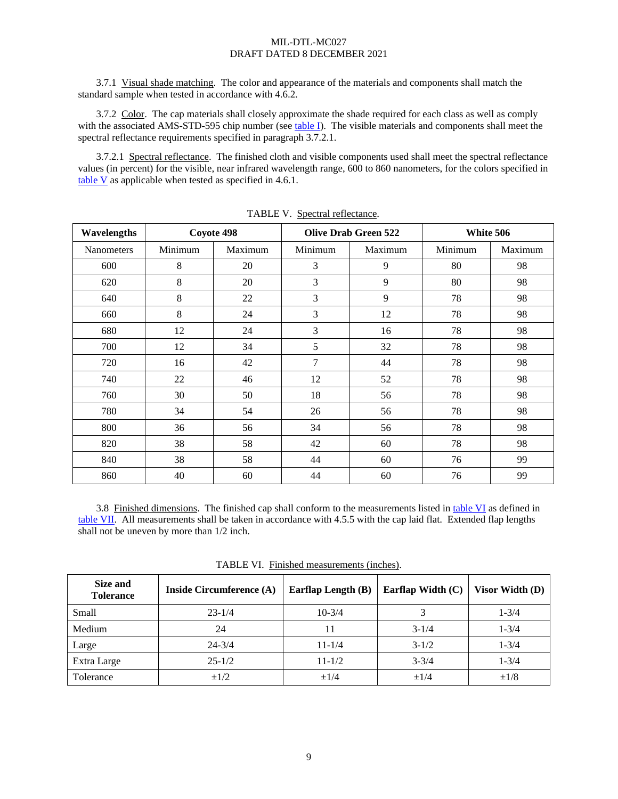3.7.1 Visual shade matching. The color and appearance of the materials and components shall match the standard sample when tested in accordance wit[h 4.6.2.](#page-15-2)

3.7.2 Color. The cap materials shall closely approximate the shade required for each class as well as comply with the associated AMS-STD-595 chip number (see [table I\)](#page-3-0). The visible materials and components shall meet the spectral reflectance requirements specified in paragraph [3.7.2.1.](#page-8-1)

<span id="page-8-1"></span>3.7.2.1 Spectral reflectance. The finished cloth and visible components used shall meet the spectral reflectance values (in percent) for the visible, near infrared wavelength range, 600 to 860 nanometers, for the colors specified in [table V](#page-8-2) as applicable when tested as specified in [4.6.1.](#page-15-3)

<span id="page-8-2"></span>

| Wavelengths | Coyote 498 |         | <b>Olive Drab Green 522</b> |         | White 506 |         |
|-------------|------------|---------|-----------------------------|---------|-----------|---------|
| Nanometers  | Minimum    | Maximum | Minimum                     | Maximum | Minimum   | Maximum |
| 600         | 8          | 20      | 3                           | 9       | 80        | 98      |
| 620         | 8          | 20      | 3                           | 9       | 80        | 98      |
| 640         | 8          | 22      | 3                           | 9       | 78        | 98      |
| 660         | 8          | 24      | 3                           | 12      | 78        | 98      |
| 680         | 12         | 24      | 3                           | 16      | 78        | 98      |
| 700         | 12         | 34      | 5                           | 32      | 78        | 98      |
| 720         | 16         | 42      | 7                           | 44      | 78        | 98      |
| 740         | 22         | 46      | 12                          | 52      | 78        | 98      |
| 760         | 30         | 50      | 18                          | 56      | 78        | 98      |
| 780         | 34         | 54      | 26                          | 56      | 78        | 98      |
| 800         | 36         | 56      | 34                          | 56      | 78        | 98      |
| 820         | 38         | 58      | 42                          | 60      | 78        | 98      |
| 840         | 38         | 58      | 44                          | 60      | 76        | 99      |
| 860         | 40         | 60      | 44                          | 60      | 76        | 99      |

TABLE V. Spectral reflectance.

<span id="page-8-0"></span>3.8 Finished dimensions. The finished cap shall conform to the measurements listed in [table VI](#page-8-3) as defined in [table VII.](#page-9-0) All measurements shall be taken in accordance with [4.5.5](#page-14-1) with the cap laid flat. Extended flap lengths shall not be uneven by more than 1/2 inch.

<span id="page-8-3"></span>

| Size and<br><b>Tolerance</b> | Inside Circumference (A) | <b>Earflap Length (B)</b> | Earflap Width (C) | Visor Width (D)   |
|------------------------------|--------------------------|---------------------------|-------------------|-------------------|
| Small                        | $23 - 1/4$               | $10 - 3/4$                |                   | $1 - \frac{3}{4}$ |
| Medium                       | 24                       |                           | $3 - 1/4$         | $1 - \frac{3}{4}$ |
| Large                        | $24 - 3/4$               | $11 - 1/4$                | $3 - 1/2$         | $1 - \frac{3}{4}$ |
| Extra Large                  | $25 - 1/2$               | $11 - 1/2$                | $3 - 3/4$         | $1 - \frac{3}{4}$ |
| Tolerance                    | $\pm 1/2$                | $\pm$ 1/4                 | $\pm$ 1/4         | $\pm 1/8$         |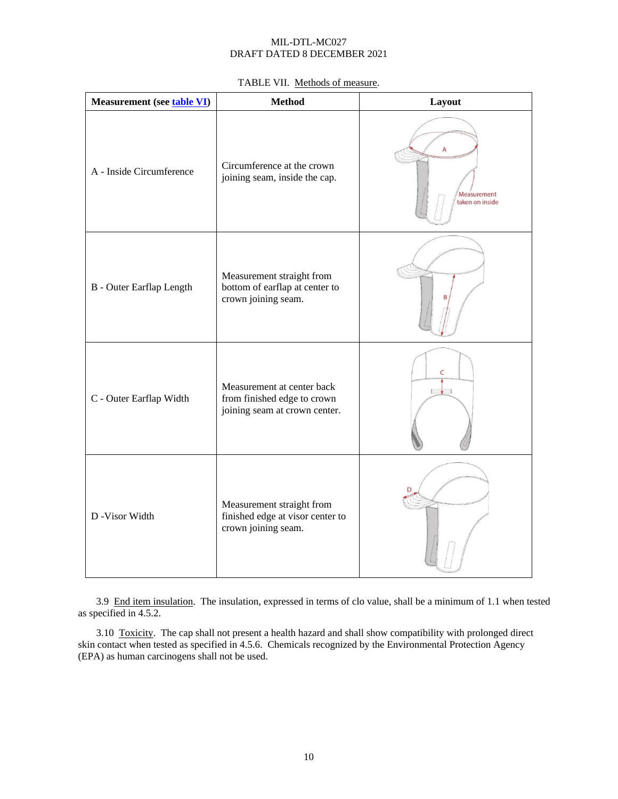| TABLE VII. Methods of measure. |  |  |
|--------------------------------|--|--|
|--------------------------------|--|--|

<span id="page-9-0"></span>

| <b>Measurement</b> (see <b>table VI</b> ) | <b>Method</b>                                                                              | Layout                              |
|-------------------------------------------|--------------------------------------------------------------------------------------------|-------------------------------------|
| A - Inside Circumference                  | Circumference at the crown<br>joining seam, inside the cap.                                | A<br>Measurement<br>taken on inside |
| <b>B</b> - Outer Earflap Length           | Measurement straight from<br>bottom of earflap at center to<br>crown joining seam.         |                                     |
| C - Outer Earflap Width                   | Measurement at center back<br>from finished edge to crown<br>joining seam at crown center. | C<br>$\sqrt{1}$                     |
| D -Visor Width                            | Measurement straight from<br>finished edge at visor center to<br>crown joining seam.       |                                     |

<span id="page-9-1"></span>3.9 End item insulation. The insulation, expressed in terms of clo value, shall be a minimum of 1.1 when tested as specified in [4.5.2.](#page-13-0)

<span id="page-9-2"></span>3.10 Toxicity. The cap shall not present a health hazard and shall show compatibility with prolonged direct skin contact when tested as specified i[n 4.5.6.](#page-14-0) Chemicals recognized by the Environmental Protection Agency (EPA) as human carcinogens shall not be used.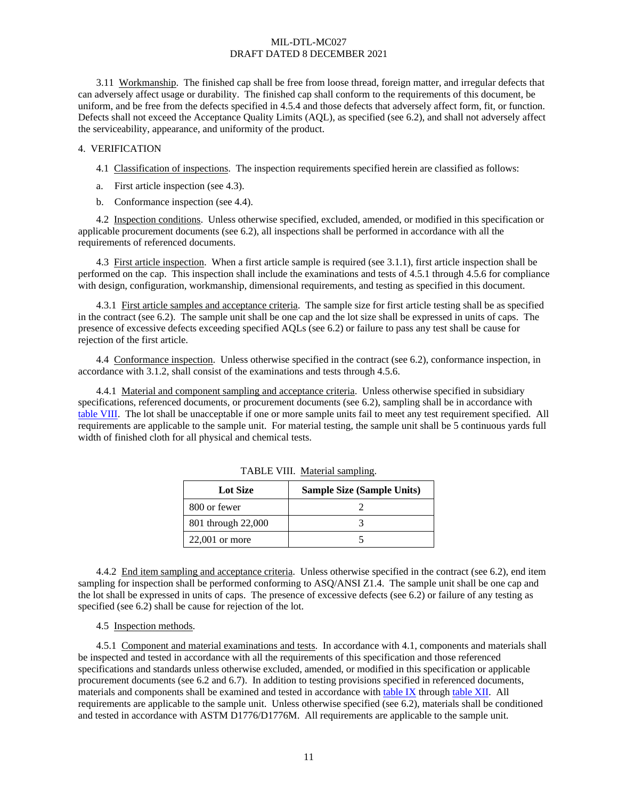<span id="page-10-6"></span>3.11 Workmanship. The finished cap shall be free from loose thread, foreign matter, and irregular defects that can adversely affect usage or durability. The finished cap shall conform to the requirements of this document, be uniform, and be free from the defects specified in [4.5.4](#page-14-2) and those defects that adversely affect form, fit, or function. Defects shall not exceed the Acceptance Quality Limits (AQL), as specified (se[e 6.2\)](#page-15-0), and shall not adversely affect the serviceability, appearance, and uniformity of the product.

### <span id="page-10-5"></span>4. VERIFICATION

4.1 Classification of inspections. The inspection requirements specified herein are classified as follows:

- a. First article inspection (see [4.3\)](#page-10-0).
- b. Conformance inspection (se[e 4.4\)](#page-10-1).

<span id="page-10-8"></span>4.2 Inspection conditions. Unless otherwise specified, excluded, amended, or modified in this specification or applicable procurement documents (se[e 6.2\)](#page-15-0), all inspections shall be performed in accordance with all the requirements of referenced documents.

<span id="page-10-0"></span>4.3 First article inspection. When a first article sample is required (se[e 3.1.1\)](#page-2-1), first article inspection shall be performed on the cap. This inspection shall include the examinations and tests of [4.5.1](#page-10-2) through [4.5.6](#page-14-0) for compliance with design, configuration, workmanship, dimensional requirements, and testing as specified in this document.

<span id="page-10-7"></span>4.3.1 First article samples and acceptance criteria. The sample size for first article testing shall be as specified in the contract (see [6.2\)](#page-15-0). The sample unit shall be one cap and the lot size shall be expressed in units of caps. The presence of excessive defects exceeding specified AQLs (see [6.2\)](#page-15-0) or failure to pass any test shall be cause for rejection of the first article.

<span id="page-10-1"></span>4.4 Conformance inspection. Unless otherwise specified in the contract (see [6.2\)](#page-15-0), conformance inspection, in accordance with [3.1.2,](#page-2-2) shall consist of the examinations and tests through [4.5.6.](#page-14-0)

<span id="page-10-9"></span>4.4.1 Material and component sampling and acceptance criteria. Unless otherwise specified in subsidiary specifications, referenced documents, or procurement documents (se[e 6.2\)](#page-15-0), sampling shall be in accordance with [table VIII.](#page-10-4) The lot shall be unacceptable if one or more sample units fail to meet any test requirement specified. All requirements are applicable to the sample unit. For material testing, the sample unit shall be 5 continuous yards full width of finished cloth for all physical and chemical tests.

<span id="page-10-4"></span>

| <b>Lot Size</b>    | <b>Sample Size (Sample Units)</b> |
|--------------------|-----------------------------------|
| 800 or fewer       |                                   |
| 801 through 22,000 |                                   |
| $22,001$ or more   |                                   |

TABLE VIII. Material sampling.

<span id="page-10-10"></span>4.4.2 End item sampling and acceptance criteria. Unless otherwise specified in the contract (se[e 6.2\)](#page-15-0), end item sampling for inspection shall be performed conforming to ASQ/ANSI Z1.4. The sample unit shall be one cap and the lot shall be expressed in units of caps. The presence of excessive defects (see [6.2\)](#page-15-0) or failure of any testing as specified (see [6.2\)](#page-15-0) shall be cause for rejection of the lot.

## <span id="page-10-3"></span>4.5 Inspection methods.

<span id="page-10-2"></span>4.5.1 Component and material examinations and tests. In accordance with [4.1,](#page-10-5) components and materials shall be inspected and tested in accordance with all the requirements of this specification and those referenced specifications and standards unless otherwise excluded, amended, or modified in this specification or applicable procurement documents (see [6.2](#page-15-0) and [6.7\)](#page-18-0). In addition to testing provisions specified in referenced documents, materials and components shall be examined and tested in accordance with [table IX](#page-11-0) through [table XII.](#page-13-1) All requirements are applicable to the sample unit. Unless otherwise specified (se[e 6.2\)](#page-15-0), materials shall be conditioned and tested in accordance with ASTM D1776/D1776M. All requirements are applicable to the sample unit.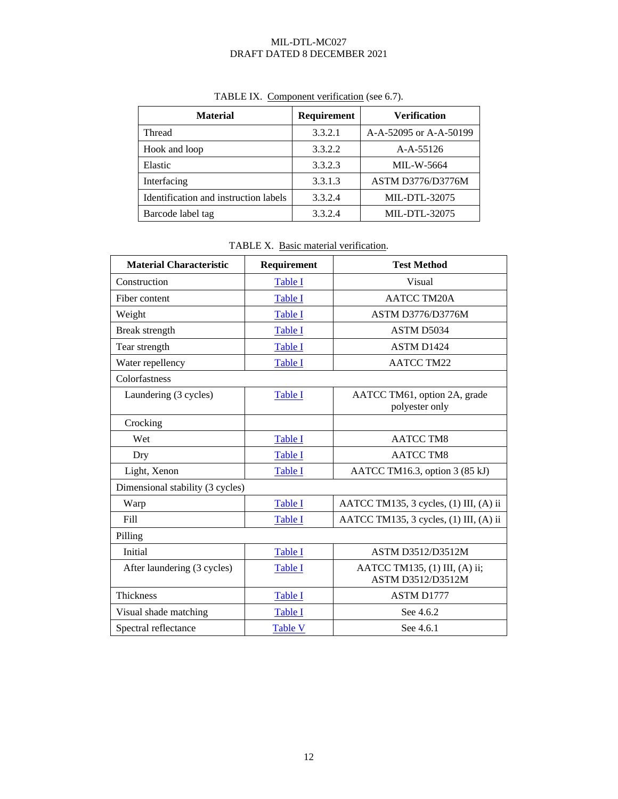<span id="page-11-0"></span>

| <b>Material</b>                       | Requirement | <b>Verification</b>      |
|---------------------------------------|-------------|--------------------------|
| Thread                                | 3.3.2.1     | A-A-52095 or A-A-50199   |
| Hook and loop                         | 3.3.2.2     | $A-A-55126$              |
| Elastic                               | 3.3.2.3     | <b>MIL-W-5664</b>        |
| Interfacing                           | 3.3.1.3     | <b>ASTM D3776/D3776M</b> |
| Identification and instruction labels | 3.3.2.4     | MIL-DTL-32075            |
| Barcode label tag                     | 3.3.2.4     | MIL-DTL-32075            |

# TABLE IX. Component verification (se[e 6.7\)](#page-18-0).

|--|

| <b>Material Characteristic</b>   | Requirement    | <b>Test Method</b>                                 |
|----------------------------------|----------------|----------------------------------------------------|
| Construction                     | Table I        | Visual                                             |
| Fiber content                    | Table I        | <b>AATCC TM20A</b>                                 |
| Weight                           | <b>Table I</b> | <b>ASTM D3776/D3776M</b>                           |
| Break strength                   | Table I        | ASTM D5034                                         |
| Tear strength                    | Table I        | ASTM D1424                                         |
| Water repellency                 | <b>Table I</b> | <b>AATCC TM22</b>                                  |
| Colorfastness                    |                |                                                    |
| Laundering (3 cycles)            | Table I        | AATCC TM61, option 2A, grade<br>polyester only     |
| Crocking                         |                |                                                    |
| Wet                              | Table I        | <b>AATCC TM8</b>                                   |
| Dry                              | Table I        | <b>AATCC TM8</b>                                   |
| Light, Xenon                     | Table I        | AATCC TM16.3, option 3 (85 kJ)                     |
| Dimensional stability (3 cycles) |                |                                                    |
| Warp                             | Table I        | AATCC TM135, 3 cycles, (1) III, (A) ii             |
| Fill                             | Table I        | AATCC TM135, 3 cycles, (1) III, (A) ii             |
| Pilling                          |                |                                                    |
| Initial                          | Table I        | <b>ASTM D3512/D3512M</b>                           |
| After laundering (3 cycles)      | <b>Table I</b> | AATCC TM135, (1) III, (A) ii;<br>ASTM D3512/D3512M |
| Thickness                        | Table I        | <b>ASTM D1777</b>                                  |
| Visual shade matching            | Table I        | See 4.6.2                                          |
| Spectral reflectance             | <b>Table V</b> | See 4.6.1                                          |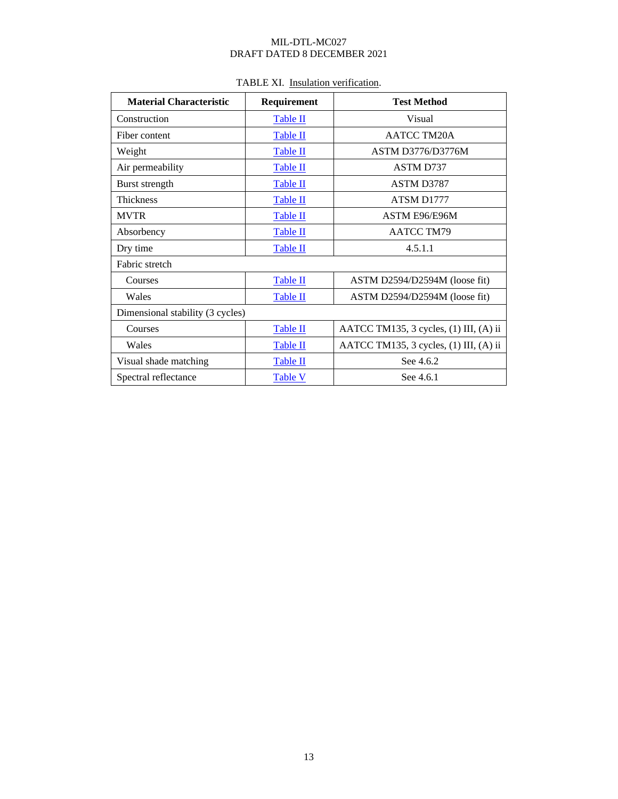| <b>Material Characteristic</b>   | Requirement     | <b>Test Method</b>                     |
|----------------------------------|-----------------|----------------------------------------|
| Construction                     | <b>Table II</b> | Visual                                 |
| Fiber content                    | Table II        | <b>AATCC TM20A</b>                     |
| Weight                           | Table II        | <b>ASTM D3776/D3776M</b>               |
| Air permeability                 | <b>Table II</b> | <b>ASTM D737</b>                       |
| Burst strength                   | Table II        | ASTM D3787                             |
| Thickness                        | Table II        | ATSM D1777                             |
| <b>MVTR</b>                      | <b>Table II</b> | ASTM E96/E96M                          |
| Absorbency                       | Table II        | <b>AATCC TM79</b>                      |
| Dry time                         | Table II        | 4.5.1.1                                |
| Fabric stretch                   |                 |                                        |
| Courses                          | Table II        | ASTM D2594/D2594M (loose fit)          |
| Wales                            | Table II        | ASTM D2594/D2594M (loose fit)          |
| Dimensional stability (3 cycles) |                 |                                        |
| Courses                          | Table II        | AATCC TM135, 3 cycles, (1) III, (A) ii |
| Wales                            | <b>Table II</b> | AATCC TM135, 3 cycles, (1) III, (A) ii |
| Visual shade matching            | <b>Table II</b> | See 4.6.2                              |
| Spectral reflectance             | <b>Table V</b>  | See 4.6.1                              |

# TABLE XI. Insulation verification.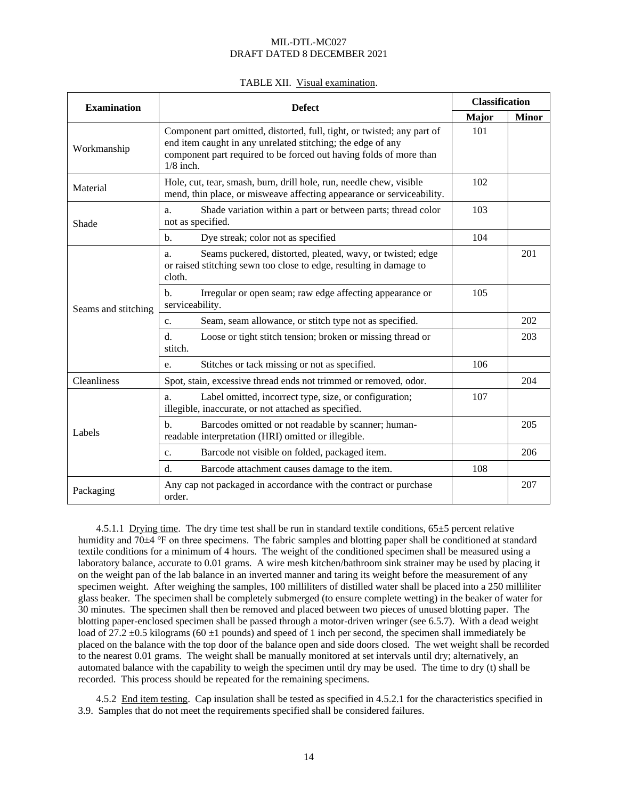| TABLE XII. Visual examination. |  |
|--------------------------------|--|
|--------------------------------|--|

<span id="page-13-1"></span>

| <b>Examination</b>  | <b>Defect</b>                                                                                                                                                                                                               |     | <b>Classification</b> |  |
|---------------------|-----------------------------------------------------------------------------------------------------------------------------------------------------------------------------------------------------------------------------|-----|-----------------------|--|
|                     |                                                                                                                                                                                                                             |     | <b>Minor</b>          |  |
| Workmanship         | Component part omitted, distorted, full, tight, or twisted; any part of<br>end item caught in any unrelated stitching; the edge of any<br>component part required to be forced out having folds of more than<br>$1/8$ inch. | 101 |                       |  |
| Material            | Hole, cut, tear, smash, burn, drill hole, run, needle chew, visible<br>mend, thin place, or misweave affecting appearance or serviceability.                                                                                | 102 |                       |  |
| Shade               | Shade variation within a part or between parts; thread color<br>a.<br>not as specified.                                                                                                                                     | 103 |                       |  |
|                     | Dye streak; color not as specified<br>$\mathbf{b}$ .                                                                                                                                                                        | 104 |                       |  |
|                     | Seams puckered, distorted, pleated, wavy, or twisted; edge<br>a.<br>or raised stitching sewn too close to edge, resulting in damage to<br>cloth.                                                                            |     | 201                   |  |
| Seams and stitching | Irregular or open seam; raw edge affecting appearance or<br>$b$ .<br>serviceability.                                                                                                                                        | 105 |                       |  |
|                     | Seam, seam allowance, or stitch type not as specified.<br>C <sub>1</sub>                                                                                                                                                    |     | 202                   |  |
|                     | $d$ .<br>Loose or tight stitch tension; broken or missing thread or<br>stitch.                                                                                                                                              |     | 203                   |  |
|                     | Stitches or tack missing or not as specified.<br>e.                                                                                                                                                                         | 106 |                       |  |
| Cleanliness         | Spot, stain, excessive thread ends not trimmed or removed, odor.                                                                                                                                                            |     | 204                   |  |
|                     | Label omitted, incorrect type, size, or configuration;<br>a.<br>illegible, inaccurate, or not attached as specified.                                                                                                        | 107 |                       |  |
| Labels              | Barcodes omitted or not readable by scanner; human-<br>$\mathbf b$ .<br>readable interpretation (HRI) omitted or illegible.                                                                                                 |     | 205                   |  |
|                     | Barcode not visible on folded, packaged item.<br>$\mathbf{c}$ .                                                                                                                                                             |     | 206                   |  |
|                     | $d$ .<br>Barcode attachment causes damage to the item.                                                                                                                                                                      | 108 |                       |  |
| Packaging           | Any cap not packaged in accordance with the contract or purchase<br>order.                                                                                                                                                  |     | 207                   |  |

<span id="page-13-2"></span>4.5.1.1 Drying time. The dry time test shall be run in standard textile conditions, 65±5 percent relative humidity and 70±4 ℉ on three specimens. The fabric samples and blotting paper shall be conditioned at standard textile conditions for a minimum of 4 hours. The weight of the conditioned specimen shall be measured using a laboratory balance, accurate to 0.01 grams. A wire mesh kitchen/bathroom sink strainer may be used by placing it on the weight pan of the lab balance in an inverted manner and taring its weight before the measurement of any specimen weight. After weighing the samples, 100 milliliters of distilled water shall be placed into a 250 milliliter glass beaker. The specimen shall be completely submerged (to ensure complete wetting) in the beaker of water for 30 minutes. The specimen shall then be removed and placed between two pieces of unused blotting paper. The blotting paper-enclosed specimen shall be passed through a motor-driven wringer (see [6.5.7\)](#page-17-0). With a dead weight load of 27.2  $\pm$ 0.5 kilograms (60  $\pm$ 1 pounds) and speed of 1 inch per second, the specimen shall immediately be placed on the balance with the top door of the balance open and side doors closed. The wet weight shall be recorded to the nearest 0.01 grams. The weight shall be manually monitored at set intervals until dry; alternatively, an automated balance with the capability to weigh the specimen until dry may be used. The time to dry (t) shall be recorded. This process should be repeated for the remaining specimens.

<span id="page-13-0"></span>4.5.2 End item testing. Cap insulation shall be tested as specified in [4.5.2.1](#page-14-3) for the characteristics specified in [3.9.](#page-9-1) Samples that do not meet the requirements specified shall be considered failures.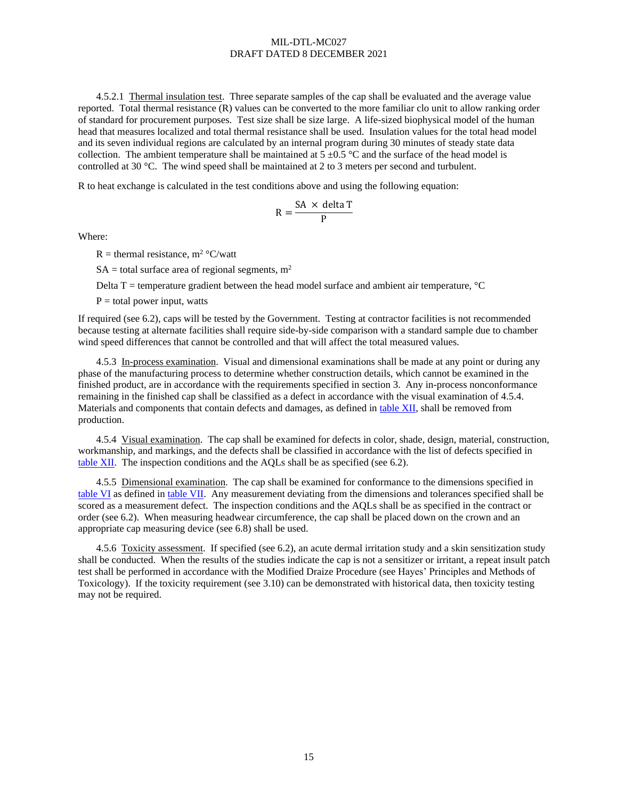<span id="page-14-3"></span>4.5.2.1 Thermal insulation test. Three separate samples of the cap shall be evaluated and the average value reported. Total thermal resistance (R) values can be converted to the more familiar clo unit to allow ranking order of standard for procurement purposes. Test size shall be size large. A life-sized biophysical model of the human head that measures localized and total thermal resistance shall be used. Insulation values for the total head model and its seven individual regions are calculated by an internal program during 30 minutes of steady state data collection. The ambient temperature shall be maintained at  $5 \pm 0.5$  °C and the surface of the head model is controlled at 30 °C. The wind speed shall be maintained at 2 to 3 meters per second and turbulent.

R to heat exchange is calculated in the test conditions above and using the following equation:

$$
R = \frac{SA \times delta T}{P}
$$

Where:

R = thermal resistance,  $m^2$  °C/watt

 $SA =$  total surface area of regional segments,  $m<sup>2</sup>$ 

Delta  $T =$  temperature gradient between the head model surface and ambient air temperature,  $°C$ 

 $P =$  total power input, watts

If required (see [6.2\)](#page-15-0), caps will be tested by the Government. Testing at contractor facilities is not recommended because testing at alternate facilities shall require side-by-side comparison with a standard sample due to chamber wind speed differences that cannot be controlled and that will affect the total measured values.

4.5.3 In-process examination. Visual and dimensional examinations shall be made at any point or during any phase of the manufacturing process to determine whether construction details, which cannot be examined in the finished product, are in accordance with the requirements specified in section 3. Any in-process nonconformance remaining in the finished cap shall be classified as a defect in accordance with the visual examination o[f 4.5.4.](#page-14-2) Materials and components that contain defects and damages, as defined in [table XII,](#page-13-1) shall be removed from production.

<span id="page-14-2"></span>4.5.4 Visual examination. The cap shall be examined for defects in color, shade, design, material, construction, workmanship, and markings, and the defects shall be classified in accordance with the list of defects specified in [table XII.](#page-13-1) The inspection conditions and the AQLs shall be as specified (see [6.2\)](#page-15-0).

<span id="page-14-1"></span>4.5.5 Dimensional examination. The cap shall be examined for conformance to the dimensions specified in [table VI](#page-8-3) as defined in [table VII.](#page-9-0) Any measurement deviating from the dimensions and tolerances specified shall be scored as a measurement defect. The inspection conditions and the AQLs shall be as specified in the contract or order (se[e 6.2\)](#page-15-0). When measuring headwear circumference, the cap shall be placed down on the crown and an appropriate cap measuring device (see [6.8\)](#page-18-1) shall be used.

<span id="page-14-0"></span>4.5.6 Toxicity assessment. If specified (see [6.2\)](#page-15-0), an acute dermal irritation study and a skin sensitization study shall be conducted. When the results of the studies indicate the cap is not a sensitizer or irritant, a repeat insult patch test shall be performed in accordance with the Modified Draize Procedure (see Hayes' Principles and Methods of Toxicology). If the toxicity requirement (se[e 3.10\)](#page-9-2) can be demonstrated with historical data, then toxicity testing may not be required.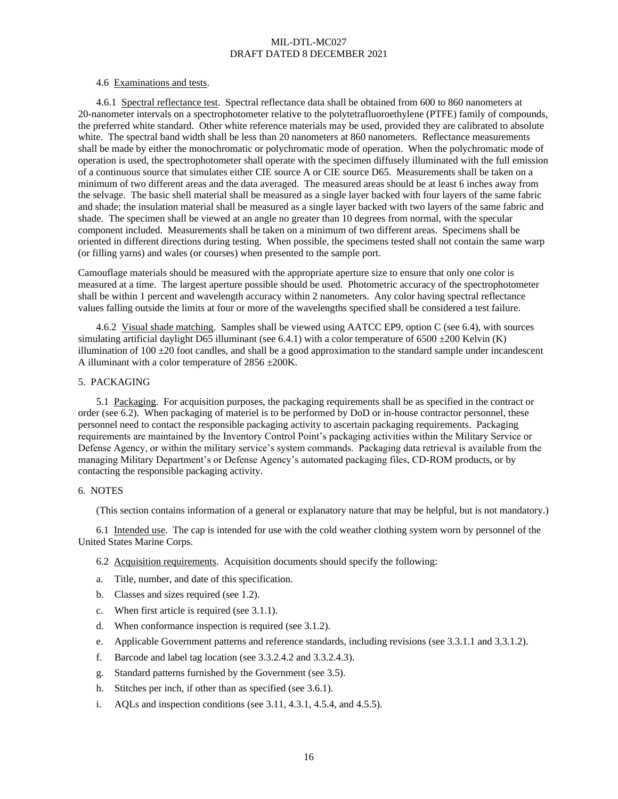### 4.6 Examinations and tests.

<span id="page-15-3"></span>4.6.1 Spectral reflectance test. Spectral reflectance data shall be obtained from 600 to 860 nanometers at 20-nanometer intervals on a spectrophotometer relative to the polytetrafluoroethylene (PTFE) family of compounds, the preferred white standard. Other white reference materials may be used, provided they are calibrated to absolute white. The spectral band width shall be less than 20 nanometers at 860 nanometers. Reflectance measurements shall be made by either the monochromatic or polychromatic mode of operation. When the polychromatic mode of operation is used, the spectrophotometer shall operate with the specimen diffusely illuminated with the full emission of a continuous source that simulates either CIE source A or CIE source D65. Measurements shall be taken on a minimum of two different areas and the data averaged. The measured areas should be at least 6 inches away from the selvage. The basic shell material shall be measured as a single layer backed with four layers of the same fabric and shade; the insulation material shall be measured as a single layer backed with two layers of the same fabric and shade. The specimen shall be viewed at an angle no greater than 10 degrees from normal, with the specular component included. Measurements shall be taken on a minimum of two different areas. Specimens shall be oriented in different directions during testing. When possible, the specimens tested shall not contain the same warp (or filling yarns) and wales (or courses) when presented to the sample port.

Camouflage materials should be measured with the appropriate aperture size to ensure that only one color is measured at a time. The largest aperture possible should be used. Photometric accuracy of the spectrophotometer shall be within 1 percent and wavelength accuracy within 2 nanometers. Any color having spectral reflectance values falling outside the limits at four or more of the wavelengths specified shall be considered a test failure.

<span id="page-15-2"></span>4.6.2 Visual shade matching. Samples shall be viewed using AATCC EP9, option C (see [6.4\)](#page-16-1), with sources simulating artificial daylight D65 illuminant (se[e 6.4.1\)](#page-16-2) with a color temperature of  $6500 \pm 200$  Kelvin (K) illumination of  $100 \pm 20$  foot candles, and shall be a good approximation to the standard sample under incandescent A illuminant with a color temperature of 2856 ±200K.

### 5. PACKAGING

<span id="page-15-4"></span>5.1 Packaging. For acquisition purposes, the packaging requirements shall be as specified in the contract or order (see 6.2). When packaging of materiel is to be performed by DoD or in-house contractor personnel, these personnel need to contact the responsible packaging activity to ascertain packaging requirements. Packaging requirements are maintained by the Inventory Control Point's packaging activities within the Military Service or Defense Agency, or within the military service's system commands. Packaging data retrieval is available from the managing Military Department's or Defense Agency's automated packaging files, CD-ROM products, or by contacting the responsible packaging activity.

### 6. NOTES

(This section contains information of a general or explanatory nature that may be helpful, but is not mandatory.)

<span id="page-15-1"></span>6.1 Intended use. The cap is intended for use with the cold weather clothing system worn by personnel of the United States Marine Corps.

- <span id="page-15-0"></span>6.2 Acquisition requirements. Acquisition documents should specify the following:
- a. Title, number, and date of this specification.
- b. Classes and sizes required (see [1.2\)](#page-0-0).
- c. When first article is required (se[e 3.1.1\)](#page-2-1).
- d. When conformance inspection is required (se[e 3.1.2\)](#page-2-2).
- e. Applicable Government patterns and reference standards, including revisions (see [3.3.1.1](#page-2-0) and [3.3.1.2\)](#page-3-1).
- f. Barcode and label tag location (see [3.3.2.4.2](#page-5-2) an[d 3.3.2.4.3\)](#page-5-3).
- g. Standard patterns furnished by the Government (see [3.5\)](#page-6-1).
- h. Stitches per inch, if other than as specified (see [3.6.1\)](#page-7-1).
- i. AQLs and inspection conditions (se[e 3.11,](#page-10-6) [4.3.1,](#page-10-7) [4.5.4,](#page-14-2) and [4.5.5\)](#page-14-1).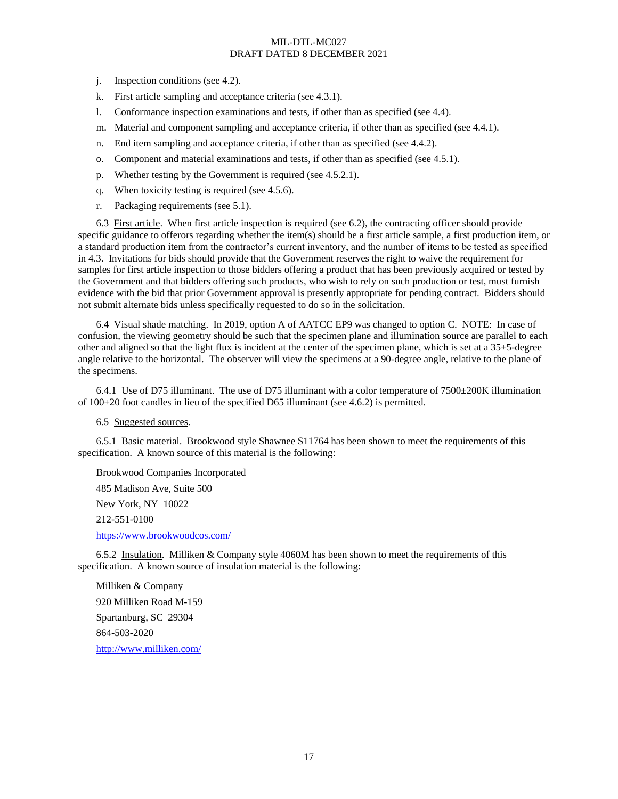- j. Inspection conditions (see [4.2\)](#page-10-8).
- k. First article sampling and acceptance criteria (se[e 4.3.1\)](#page-10-7).
- l. Conformance inspection examinations and tests, if other than as specified (see [4.4\)](#page-10-1).
- m. Material and component sampling and acceptance criteria, if other than as specified (see [4.4.1\)](#page-10-9).
- n. End item sampling and acceptance criteria, if other than as specified (se[e 4.4.2\)](#page-10-10).
- o. Component and material examinations and tests, if other than as specified (se[e 4.5.1\)](#page-10-2).
- p. Whether testing by the Government is required (see [4.5.2.1\)](#page-14-3).
- q. When toxicity testing is required (se[e 4.5.6\)](#page-14-0).
- r. Packaging requirements (see [5.1\)](#page-15-4).

6.3 First article. When first article inspection is required (see [6.2\)](#page-15-0), the contracting officer should provide specific guidance to offerors regarding whether the item(s) should be a first article sample, a first production item, or a standard production item from the contractor's current inventory, and the number of items to be tested as specified i[n 4.3.](#page-10-0) Invitations for bids should provide that the Government reserves the right to waive the requirement for samples for first article inspection to those bidders offering a product that has been previously acquired or tested by the Government and that bidders offering such products, who wish to rely on such production or test, must furnish evidence with the bid that prior Government approval is presently appropriate for pending contract. Bidders should not submit alternate bids unless specifically requested to do so in the solicitation.

<span id="page-16-1"></span>6.4 Visual shade matching. In 2019, option A of AATCC EP9 was changed to option C. NOTE: In case of confusion, the viewing geometry should be such that the specimen plane and illumination source are parallel to each other and aligned so that the light flux is incident at the center of the specimen plane, which is set at a  $35\pm5$ -degree angle relative to the horizontal. The observer will view the specimens at a 90-degree angle, relative to the plane of the specimens.

<span id="page-16-2"></span>6.4.1 Use of D75 illuminant. The use of D75 illuminant with a color temperature of  $7500\pm200$ K illumination of  $100\pm20$  foot candles in lieu of the specified D65 illuminant (see [4.6.2\)](#page-15-2) is permitted.

6.5 Suggested sources.

6.5.1 Basic material. Brookwood style Shawnee S11764 has been shown to meet the requirements of this specification. A known source of this material is the following:

Brookwood Companies Incorporated 485 Madison Ave, Suite 500 New York, NY 10022 212-551-0100 <https://www.brookwoodcos.com/>

<span id="page-16-0"></span>6.5.2 Insulation. Milliken & Company style 4060M has been shown to meet the requirements of this specification. A known source of insulation material is the following:

Milliken & Company 920 Milliken Road M-159 Spartanburg, SC 29304 864-503-2020 <http://www.milliken.com/>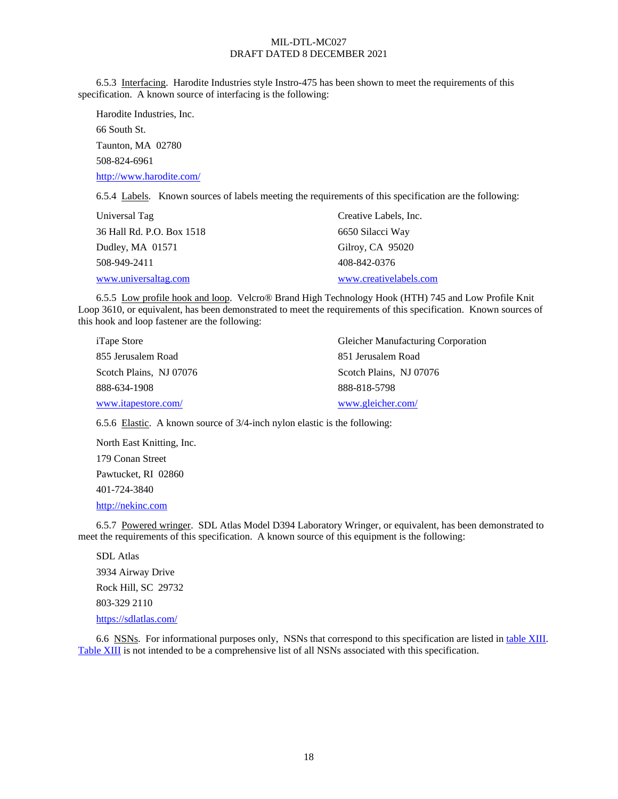6.5.3 Interfacing. Harodite Industries style Instro-475 has been shown to meet the requirements of this specification. A known source of interfacing is the following:

Harodite Industries, Inc. 66 South St. Taunton, MA 02780 508-824-6961 <http://www.harodite.com/>

6.5.4 Labels. Known sources of labels meeting the requirements of this specification are the following:

| Universal Tag             | Creative Labels, Inc.  |
|---------------------------|------------------------|
| 36 Hall Rd. P.O. Box 1518 | 6650 Silacci Way       |
| Dudley, MA 01571          | Gilroy, CA 95020       |
| 508-949-2411              | 408-842-0376           |
| www.universaltag.com      | www.creativelabels.com |

6.5.5 Low profile hook and loop. Velcro® Brand High Technology Hook (HTH) 745 and Low Profile Knit Loop 3610, or equivalent, has been demonstrated to meet the requirements of this specification. Known sources of this hook and loop fastener are the following:

| <i>iTape Store</i>      | <b>Gleicher Manufacturing Corporation</b> |
|-------------------------|-------------------------------------------|
| 855 Jerusalem Road      | 851 Jerusalem Road                        |
| Scotch Plains, NJ 07076 | Scotch Plains, NJ 07076                   |
| 888-634-1908            | 888-818-5798                              |
| www.itapestore.com/     | www.gleicher.com/                         |

6.5.6 Elastic. A known source of 3/4-inch nylon elastic is the following:

North East Knitting, Inc. 179 Conan Street Pawtucket, RI 02860 401-724-3840

[http://nekinc.com](http://nekinc.com/)

<span id="page-17-0"></span>6.5.7 Powered wringer. SDL Atlas Model D394 Laboratory Wringer, or equivalent, has been demonstrated to meet the requirements of this specification. A known source of this equipment is the following:

SDL Atlas 3934 Airway Drive Rock Hill, SC 29732 803-329 2110 <https://sdlatlas.com/>

6.6 NSNs. For informational purposes only, NSNs that correspond to this specification are listed i[n table](#page-18-2) XIII. [Table XIII](#page-18-2) is not intended to be a comprehensive list of all NSNs associated with this specification.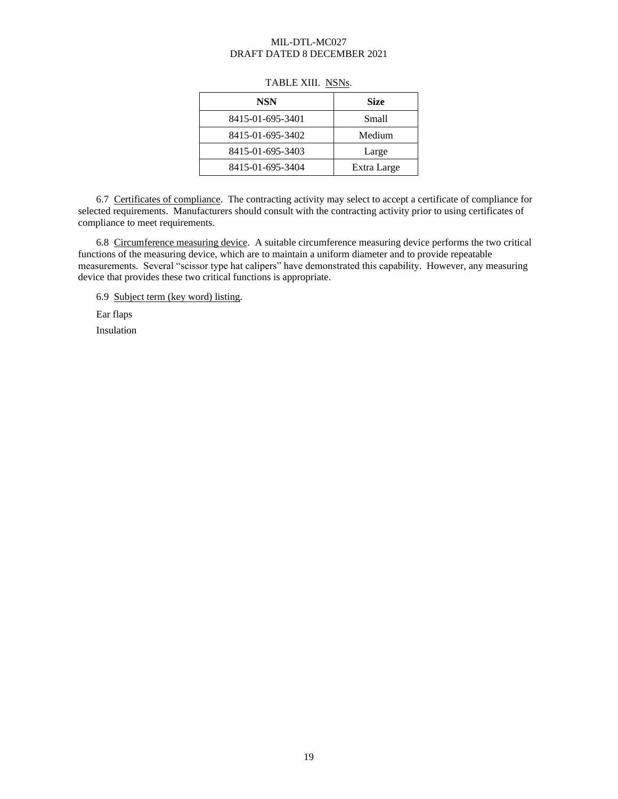<span id="page-18-2"></span>

| <b>NSN</b>       | <b>Size</b> |
|------------------|-------------|
| 8415-01-695-3401 | Small       |
| 8415-01-695-3402 | Medium      |
| 8415-01-695-3403 | Large       |
| 8415-01-695-3404 | Extra Large |

## TABLE XIII. NSNs.

<span id="page-18-0"></span>6.7 Certificates of compliance. The contracting activity may select to accept a certificate of compliance for selected requirements. Manufacturers should consult with the contracting activity prior to using certificates of compliance to meet requirements.

<span id="page-18-1"></span>6.8 Circumference measuring device. A suitable circumference measuring device performs the two critical functions of the measuring device, which are to maintain a uniform diameter and to provide repeatable measurements. Several "scissor type hat calipers" have demonstrated this capability. However, any measuring device that provides these two critical functions is appropriate.

6.9 Subject term (key word) listing.

Ear flaps

Insulation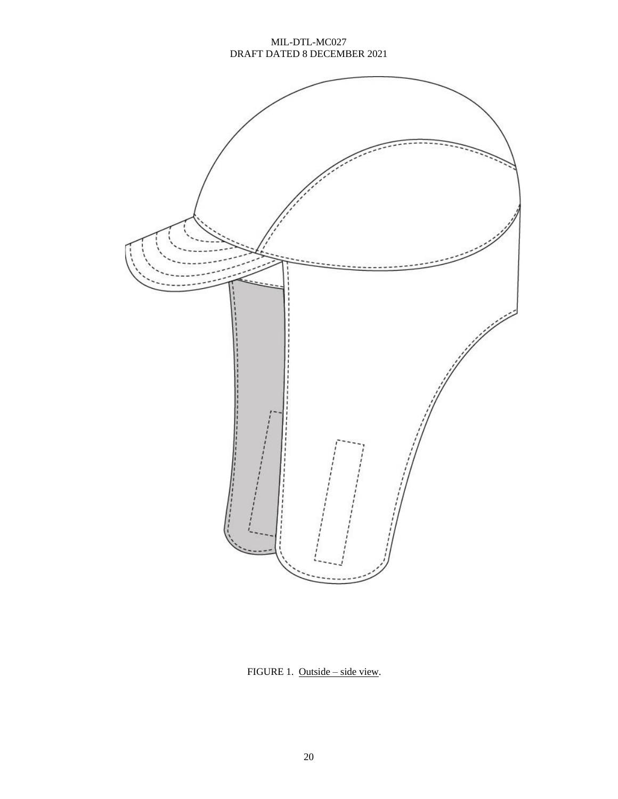

<span id="page-19-0"></span>FIGURE 1. Outside – side view.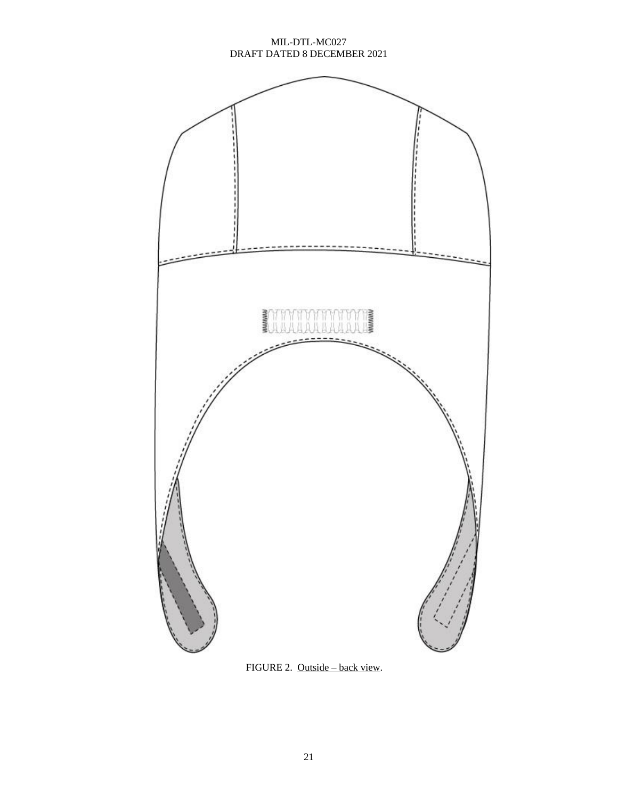<span id="page-20-0"></span>

FIGURE 2. Outside – back view.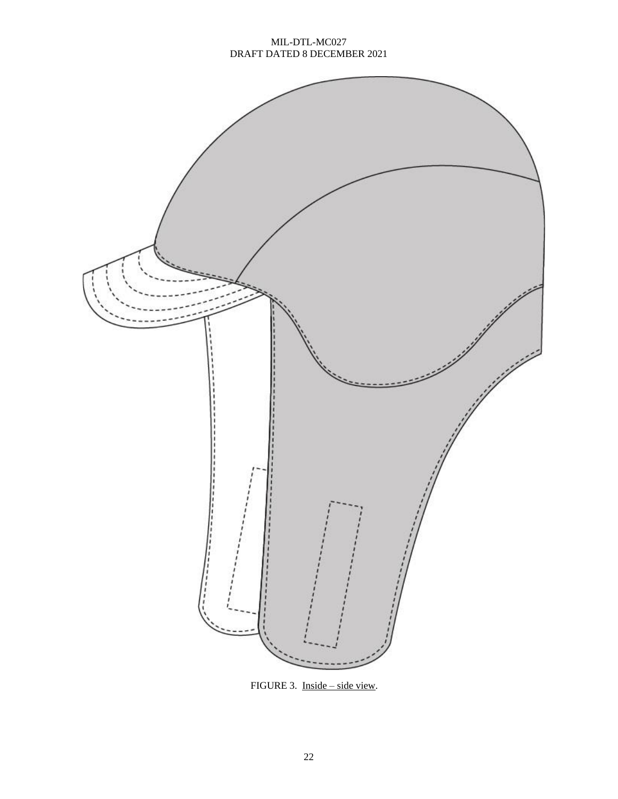

FIGURE 3. Inside – side view.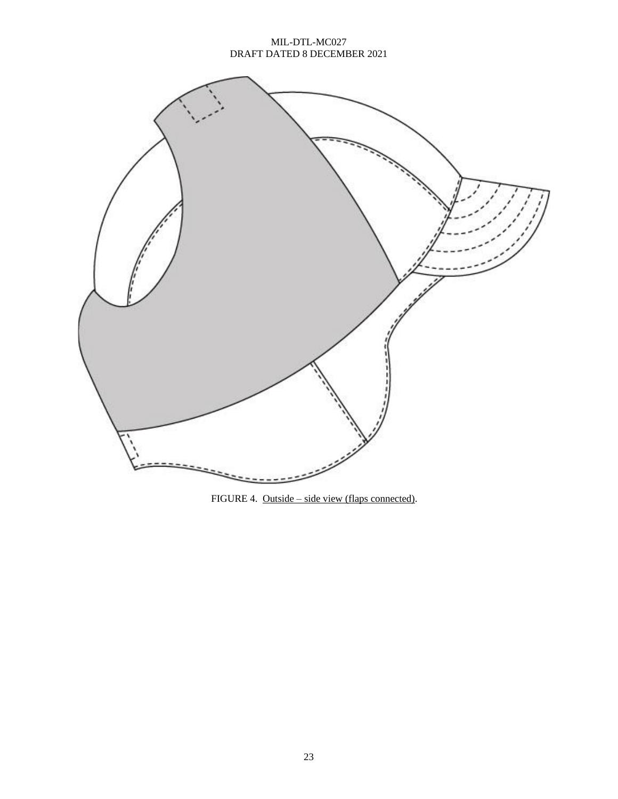

FIGURE 4. Outside – side view (flaps connected).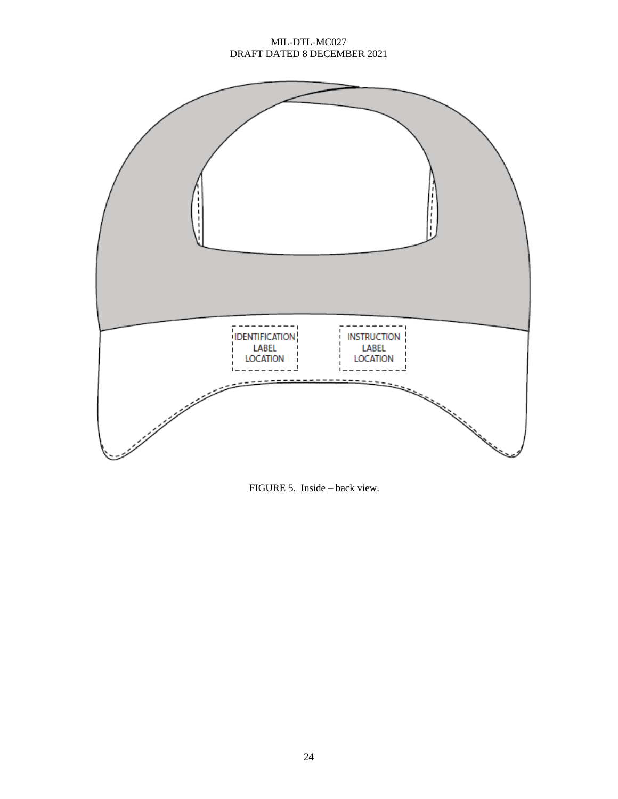

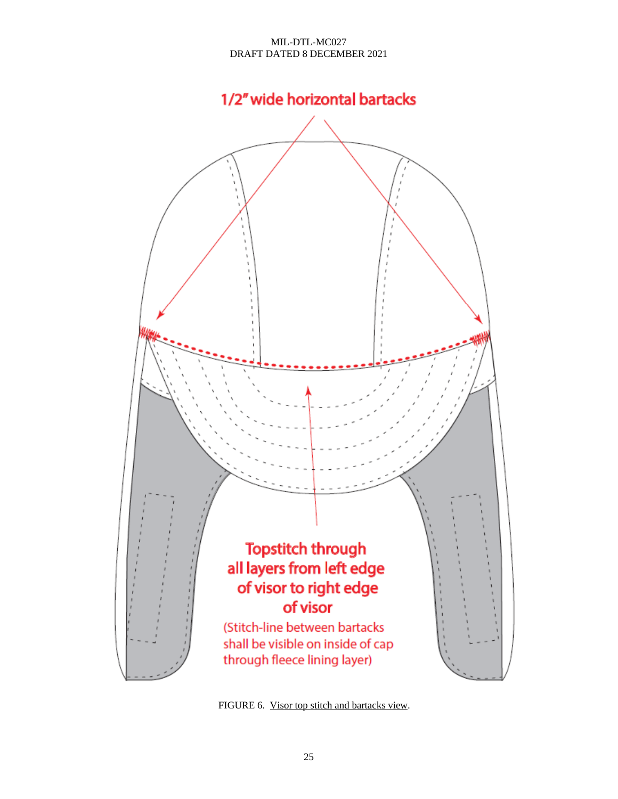

<span id="page-24-0"></span>FIGURE 6. Visor top stitch and bartacks view.